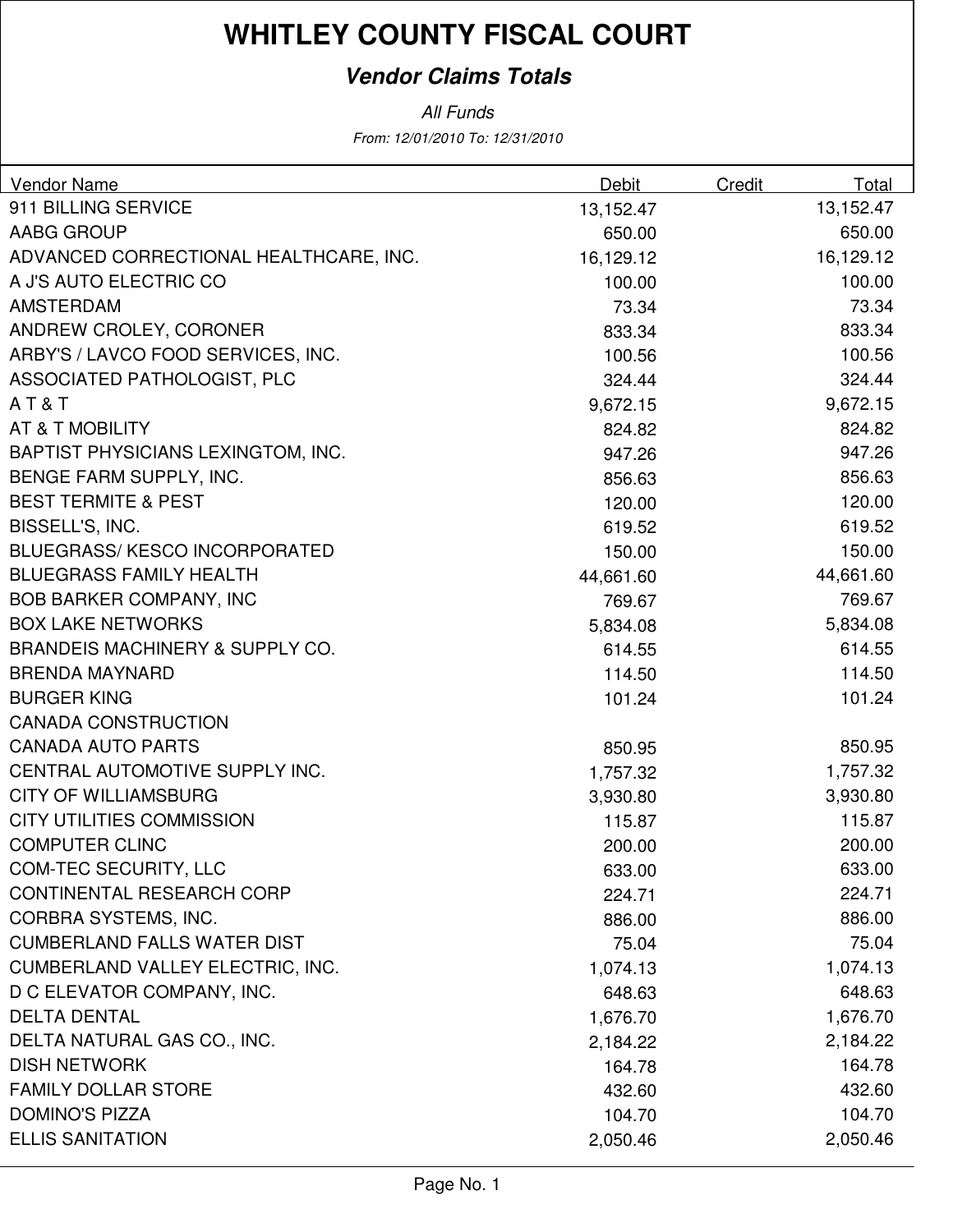## **Vendor Claims Totals**

From: 12/01/2010 To: 12/31/2010 All Funds

| <b>Vendor Name</b><br>Debit                          | Credit<br>Total |
|------------------------------------------------------|-----------------|
| 911 BILLING SERVICE<br>13,152.47                     | 13,152.47       |
| <b>AABG GROUP</b><br>650.00                          | 650.00          |
| ADVANCED CORRECTIONAL HEALTHCARE, INC.<br>16,129.12  | 16,129.12       |
| A J'S AUTO ELECTRIC CO<br>100.00                     | 100.00          |
| <b>AMSTERDAM</b><br>73.34                            | 73.34           |
| ANDREW CROLEY, CORONER<br>833.34                     | 833.34          |
| ARBY'S / LAVCO FOOD SERVICES, INC.<br>100.56         | 100.56          |
| ASSOCIATED PATHOLOGIST, PLC<br>324.44                | 324.44          |
| AT&T<br>9,672.15                                     | 9,672.15        |
| AT & T MOBILITY<br>824.82                            | 824.82          |
| <b>BAPTIST PHYSICIANS LEXINGTOM, INC.</b><br>947.26  | 947.26          |
| BENGE FARM SUPPLY, INC.<br>856.63                    | 856.63          |
| <b>BEST TERMITE &amp; PEST</b><br>120.00             | 120.00          |
| BISSELL'S, INC.<br>619.52                            | 619.52          |
| <b>BLUEGRASS/ KESCO INCORPORATED</b><br>150.00       | 150.00          |
| <b>BLUEGRASS FAMILY HEALTH</b><br>44,661.60          | 44,661.60       |
| <b>BOB BARKER COMPANY, INC</b><br>769.67             | 769.67          |
| <b>BOX LAKE NETWORKS</b><br>5,834.08                 | 5,834.08        |
| <b>BRANDEIS MACHINERY &amp; SUPPLY CO.</b><br>614.55 | 614.55          |
| <b>BRENDA MAYNARD</b><br>114.50                      | 114.50          |
| <b>BURGER KING</b><br>101.24                         | 101.24          |
| <b>CANADA CONSTRUCTION</b>                           |                 |
| <b>CANADA AUTO PARTS</b><br>850.95                   | 850.95          |
| CENTRAL AUTOMOTIVE SUPPLY INC.<br>1,757.32           | 1,757.32        |
| <b>CITY OF WILLIAMSBURG</b><br>3,930.80              | 3,930.80        |
| <b>CITY UTILITIES COMMISSION</b><br>115.87           | 115.87          |
| <b>COMPUTER CLINC</b><br>200.00                      | 200.00          |
| <b>COM-TEC SECURITY, LLC</b><br>633.00               | 633.00          |
| CONTINENTAL RESEARCH CORP<br>224.71                  | 224.71          |
| CORBRA SYSTEMS, INC.<br>886.00                       | 886.00          |
| <b>CUMBERLAND FALLS WATER DIST</b><br>75.04          | 75.04           |
| <b>CUMBERLAND VALLEY ELECTRIC, INC.</b><br>1,074.13  | 1,074.13        |
| D C ELEVATOR COMPANY, INC.<br>648.63                 | 648.63          |
| <b>DELTA DENTAL</b><br>1,676.70                      | 1,676.70        |
| DELTA NATURAL GAS CO., INC.<br>2,184.22              | 2,184.22        |
| <b>DISH NETWORK</b><br>164.78                        | 164.78          |
| <b>FAMILY DOLLAR STORE</b><br>432.60                 | 432.60          |
| <b>DOMINO'S PIZZA</b><br>104.70                      | 104.70          |
| <b>ELLIS SANITATION</b><br>2,050.46                  | 2,050.46        |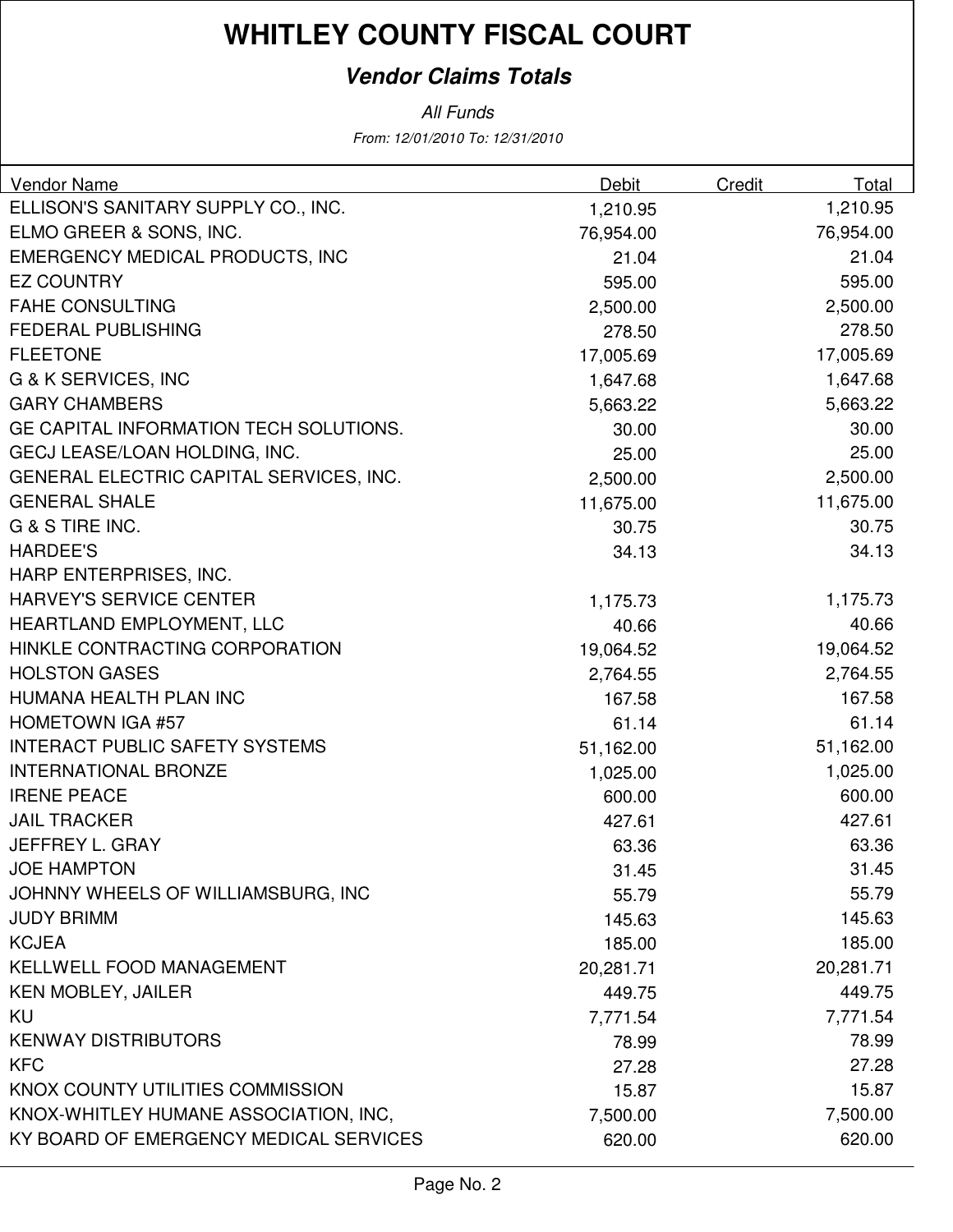## **Vendor Claims Totals**

All Funds

From: 12/01/2010 To: 12/31/2010

| <b>Vendor Name</b>                      | <b>Debit</b> | Credit | Total     |
|-----------------------------------------|--------------|--------|-----------|
| ELLISON'S SANITARY SUPPLY CO., INC.     | 1,210.95     |        | 1,210.95  |
| ELMO GREER & SONS, INC.                 | 76,954.00    |        | 76,954.00 |
| <b>EMERGENCY MEDICAL PRODUCTS, INC</b>  | 21.04        |        | 21.04     |
| <b>EZ COUNTRY</b>                       | 595.00       |        | 595.00    |
| <b>FAHE CONSULTING</b>                  | 2,500.00     |        | 2,500.00  |
| <b>FEDERAL PUBLISHING</b>               | 278.50       |        | 278.50    |
| <b>FLEETONE</b>                         | 17,005.69    |        | 17,005.69 |
| G & K SERVICES, INC                     | 1,647.68     |        | 1,647.68  |
| <b>GARY CHAMBERS</b>                    | 5,663.22     |        | 5,663.22  |
| GE CAPITAL INFORMATION TECH SOLUTIONS.  | 30.00        |        | 30.00     |
| GECJ LEASE/LOAN HOLDING, INC.           | 25.00        |        | 25.00     |
| GENERAL ELECTRIC CAPITAL SERVICES, INC. | 2,500.00     |        | 2,500.00  |
| <b>GENERAL SHALE</b>                    | 11,675.00    |        | 11,675.00 |
| G & S TIRE INC.                         | 30.75        |        | 30.75     |
| <b>HARDEE'S</b>                         | 34.13        |        | 34.13     |
| HARP ENTERPRISES, INC.                  |              |        |           |
| <b>HARVEY'S SERVICE CENTER</b>          | 1,175.73     |        | 1,175.73  |
| HEARTLAND EMPLOYMENT, LLC               | 40.66        |        | 40.66     |
| HINKLE CONTRACTING CORPORATION          | 19,064.52    |        | 19,064.52 |
| <b>HOLSTON GASES</b>                    | 2,764.55     |        | 2,764.55  |
| HUMANA HEALTH PLAN INC                  | 167.58       |        | 167.58    |
| <b>HOMETOWN IGA #57</b>                 | 61.14        |        | 61.14     |
| <b>INTERACT PUBLIC SAFETY SYSTEMS</b>   | 51,162.00    |        | 51,162.00 |
| <b>INTERNATIONAL BRONZE</b>             | 1,025.00     |        | 1,025.00  |
| <b>IRENE PEACE</b>                      | 600.00       |        | 600.00    |
| <b>JAIL TRACKER</b>                     | 427.61       |        | 427.61    |
| JEFFREY L. GRAY                         | 63.36        |        | 63.36     |
| <b>JOE HAMPTON</b>                      | 31.45        |        | 31.45     |
| JOHNNY WHEELS OF WILLIAMSBURG, INC      | 55.79        |        | 55.79     |
| <b>JUDY BRIMM</b>                       | 145.63       |        | 145.63    |
| <b>KCJEA</b>                            | 185.00       |        | 185.00    |
| KELLWELL FOOD MANAGEMENT                | 20,281.71    |        | 20,281.71 |
| <b>KEN MOBLEY, JAILER</b>               | 449.75       |        | 449.75    |
| KU                                      | 7,771.54     |        | 7,771.54  |
| <b>KENWAY DISTRIBUTORS</b>              | 78.99        |        | 78.99     |
| <b>KFC</b>                              | 27.28        |        | 27.28     |
| KNOX COUNTY UTILITIES COMMISSION        | 15.87        |        | 15.87     |
| KNOX-WHITLEY HUMANE ASSOCIATION, INC,   | 7,500.00     |        | 7,500.00  |
| KY BOARD OF EMERGENCY MEDICAL SERVICES  | 620.00       |        | 620.00    |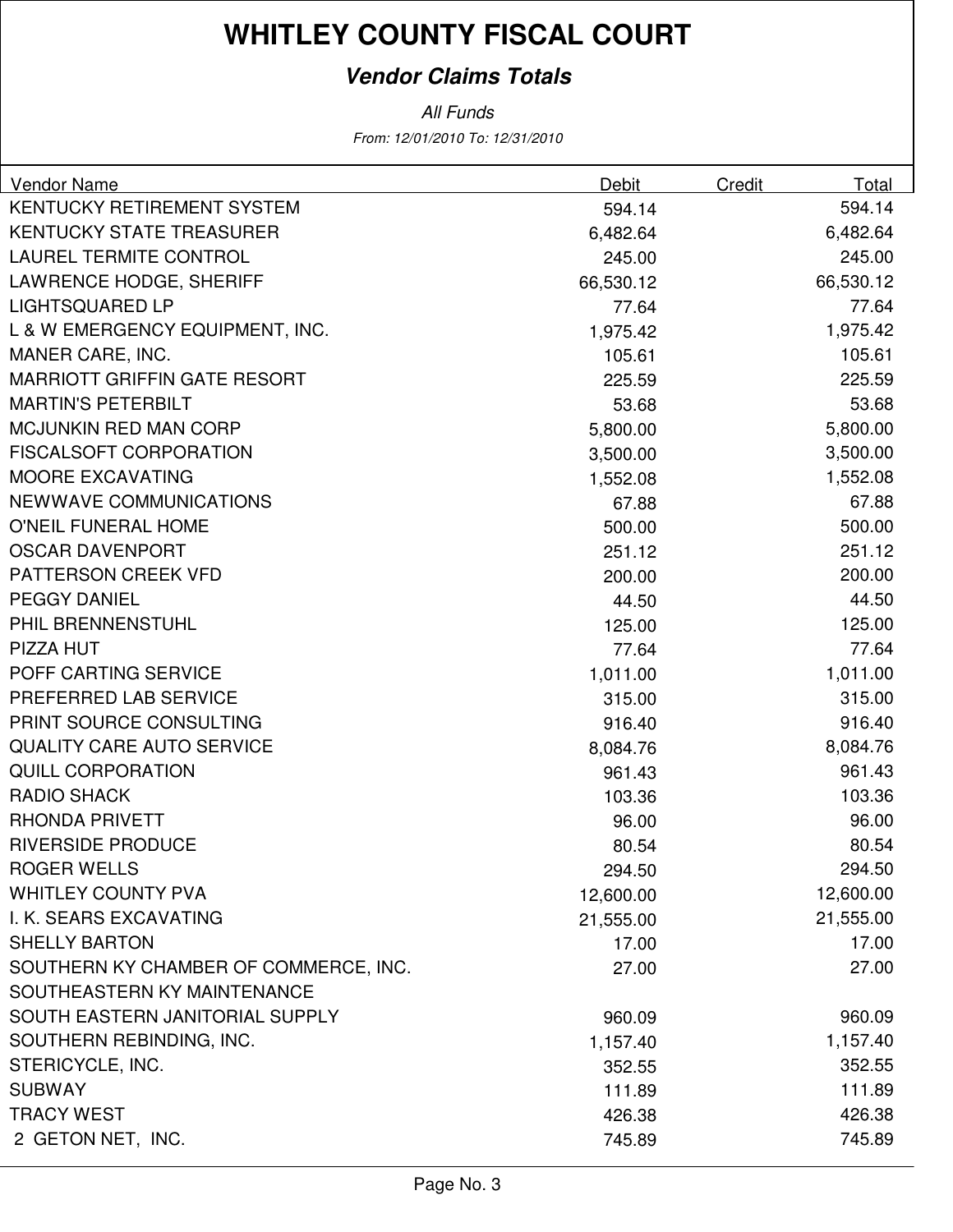### **Vendor Claims Totals**

From: 12/01/2010 To: 12/31/2010 All Funds

| <b>Vendor Name</b>                    | Debit     | Credit | Total     |
|---------------------------------------|-----------|--------|-----------|
| KENTUCKY RETIREMENT SYSTEM            | 594.14    |        | 594.14    |
| <b>KENTUCKY STATE TREASURER</b>       | 6,482.64  |        | 6,482.64  |
| <b>LAUREL TERMITE CONTROL</b>         | 245.00    |        | 245.00    |
| <b>LAWRENCE HODGE, SHERIFF</b>        | 66,530.12 |        | 66,530.12 |
| <b>LIGHTSQUARED LP</b>                | 77.64     |        | 77.64     |
| L & W EMERGENCY EQUIPMENT, INC.       | 1,975.42  |        | 1,975.42  |
| MANER CARE, INC.                      | 105.61    |        | 105.61    |
| <b>MARRIOTT GRIFFIN GATE RESORT</b>   | 225.59    |        | 225.59    |
| <b>MARTIN'S PETERBILT</b>             | 53.68     |        | 53.68     |
| <b>MCJUNKIN RED MAN CORP</b>          | 5,800.00  |        | 5,800.00  |
| <b>FISCALSOFT CORPORATION</b>         | 3,500.00  |        | 3,500.00  |
| <b>MOORE EXCAVATING</b>               | 1,552.08  |        | 1,552.08  |
| NEWWAVE COMMUNICATIONS                | 67.88     |        | 67.88     |
| O'NEIL FUNERAL HOME                   | 500.00    |        | 500.00    |
| <b>OSCAR DAVENPORT</b>                | 251.12    |        | 251.12    |
| <b>PATTERSON CREEK VFD</b>            | 200.00    |        | 200.00    |
| <b>PEGGY DANIEL</b>                   | 44.50     |        | 44.50     |
| PHIL BRENNENSTUHL                     | 125.00    |        | 125.00    |
| PIZZA HUT                             | 77.64     |        | 77.64     |
| POFF CARTING SERVICE                  | 1,011.00  |        | 1,011.00  |
| PREFERRED LAB SERVICE                 | 315.00    |        | 315.00    |
| PRINT SOURCE CONSULTING               | 916.40    |        | 916.40    |
| <b>QUALITY CARE AUTO SERVICE</b>      | 8,084.76  |        | 8,084.76  |
| <b>QUILL CORPORATION</b>              | 961.43    |        | 961.43    |
| <b>RADIO SHACK</b>                    | 103.36    |        | 103.36    |
| <b>RHONDA PRIVETT</b>                 | 96.00     |        | 96.00     |
| <b>RIVERSIDE PRODUCE</b>              | 80.54     |        | 80.54     |
| ROGER WELLS                           | 294.50    |        | 294.50    |
| <b>WHITLEY COUNTY PVA</b>             | 12,600.00 |        | 12,600.00 |
| I. K. SEARS EXCAVATING                | 21,555.00 |        | 21,555.00 |
| <b>SHELLY BARTON</b>                  | 17.00     |        | 17.00     |
| SOUTHERN KY CHAMBER OF COMMERCE, INC. | 27.00     |        | 27.00     |
| SOUTHEASTERN KY MAINTENANCE           |           |        |           |
| SOUTH EASTERN JANITORIAL SUPPLY       | 960.09    |        | 960.09    |
| SOUTHERN REBINDING, INC.              | 1,157.40  |        | 1,157.40  |
| STERICYCLE, INC.                      | 352.55    |        | 352.55    |
| <b>SUBWAY</b>                         | 111.89    |        | 111.89    |
| <b>TRACY WEST</b>                     | 426.38    |        | 426.38    |
| 2 GETON NET, INC.                     | 745.89    |        | 745.89    |